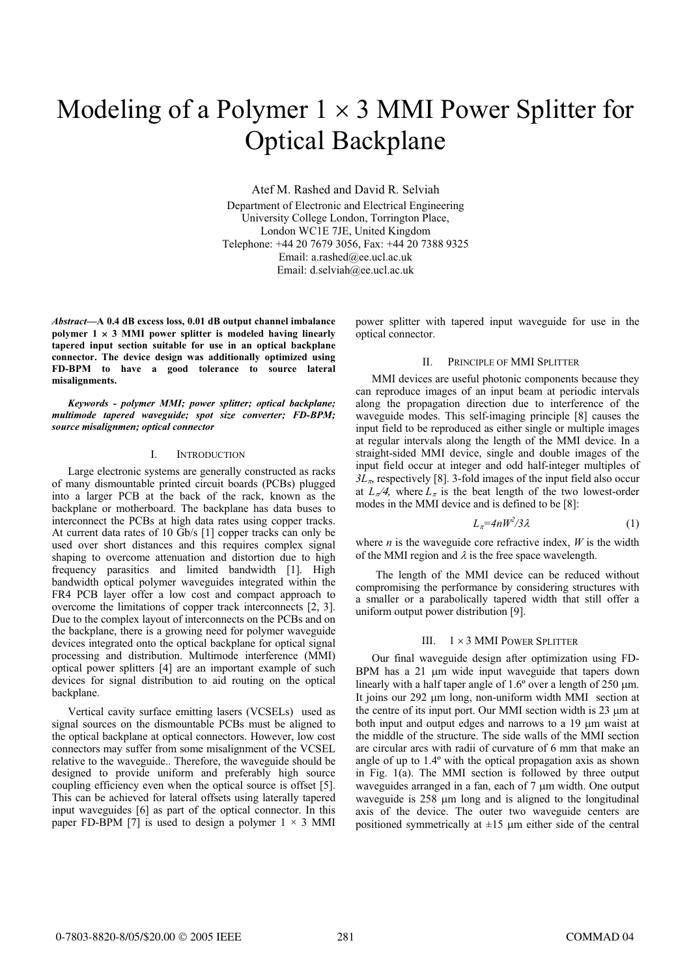# Modeling of a Polymer  $1 \times 3$  MMI Power Splitter for Optical Backplane

Atef M. Rashed and David R. Selviah Department of Electronic and Electrical Engineering University College London, Torrington Place, London WC1E 7JE, United Kingdom Telephone: +44 20 7679 3056, Fax: +44 20 7388 9325 Email: a.rashed@ee.ucl.ac.uk Email: d.selviah@ee.ucl.ac.uk

*Abstract***—A 0.4 dB excess loss, 0.01 dB output channel imbalance**  polymer  $1 \times 3$  MMI power splitter is modeled having linearly **tapered input section suitable for use in an optical backplane connector. The device design was additionally optimized using FD-BPM to have a good tolerance to source lateral misalignments.**

*Keywords - polymer MMI; power splitter; optical backplane; multimode tapered waveguide; spot size converter; FD-BPM; source misalignmen; optical connector* 

## I. INTRODUCTION

Large electronic systems are generally constructed as racks of many dismountable printed circuit boards (PCBs) plugged into a larger PCB at the back of the rack, known as the backplane or motherboard. The backplane has data buses to interconnect the PCBs at high data rates using copper tracks. At current data rates of 10 Gb/s [1] copper tracks can only be used over short distances and this requires complex signal shaping to overcome attenuation and distortion due to high frequency parasitics and limited bandwidth [1]. High bandwidth optical polymer waveguides integrated within the FR4 PCB layer offer a low cost and compact approach to overcome the limitations of copper track interconnects [2, 3]. Due to the complex layout of interconnects on the PCBs and on the backplane, there is a growing need for polymer waveguide devices integrated onto the optical backplane for optical signal processing and distribution. Multimode interference (MMI) optical power splitters [4] are an important example of such devices for signal distribution to aid routing on the optical backplane.

Vertical cavity surface emitting lasers (VCSELs) used as signal sources on the dismountable PCBs must be aligned to the optical backplane at optical connectors. However, low cost connectors may suffer from some misalignment of the VCSEL relative to the waveguide.. Therefore, the waveguide should be designed to provide uniform and preferably high source coupling efficiency even when the optical source is offset [5]. This can be achieved for lateral offsets using laterally tapered input waveguides [6] as part of the optical connector. In this paper FD-BPM [7] is used to design a polymer  $1 \times 3$  MMI

power splitter with tapered input waveguide for use in the optical connector.

## II. PRINCIPLE OF MMI SPLITTER

MMI devices are useful photonic components because they can reproduce images of an input beam at periodic intervals along the propagation direction due to interference of the waveguide modes. This self-imaging principle [8] causes the input field to be reproduced as either single or multiple images at regular intervals along the length of the MMI device. In a straight-sided MMI device, single and double images of the input field occur at integer and odd half-integer multiples of  $3L<sub>n</sub>$  respectively [8]. 3-fold images of the input field also occur at  $L_\pi/4$ , where  $L_\pi$  is the beat length of the two lowest-order modes in the MMI device and is defined to be [8]:

$$
L_{\pi} = 4nW^2/3\lambda\tag{1}
$$

where  $n$  is the waveguide core refractive index,  $W$  is the width of the MMI region and  $\lambda$  is the free space wavelength.

The length of the MMI device can be reduced without compromising the performance by considering structures with a smaller or a parabolically tapered width that still offer a uniform output power distribution [9].

## III.  $1 \times 3$  MMI POWER SPLITTER

Our final waveguide design after optimization using FD-BPM has a  $21 \mu m$  wide input waveguide that tapers down linearly with a half taper angle of  $1.6^{\circ}$  over a length of 250  $\mu$ m. It joins our 292 µm long, non-uniform width MMI section at the centre of its input port. Our MMI section width is  $23 \mu m$  at both input and output edges and narrows to a 19  $\mu$ m waist at the middle of the structure. The side walls of the MMI section are circular arcs with radii of curvature of 6 mm that make an angle of up to 1.4º with the optical propagation axis as shown in Fig. 1(a). The MMI section is followed by three output waveguides arranged in a fan, each of  $7 \mu m$  width. One output waveguide is  $258 \mu m$  long and is aligned to the longitudinal axis of the device. The outer two waveguide centers are positioned symmetrically at  $\pm 15$  µm either side of the central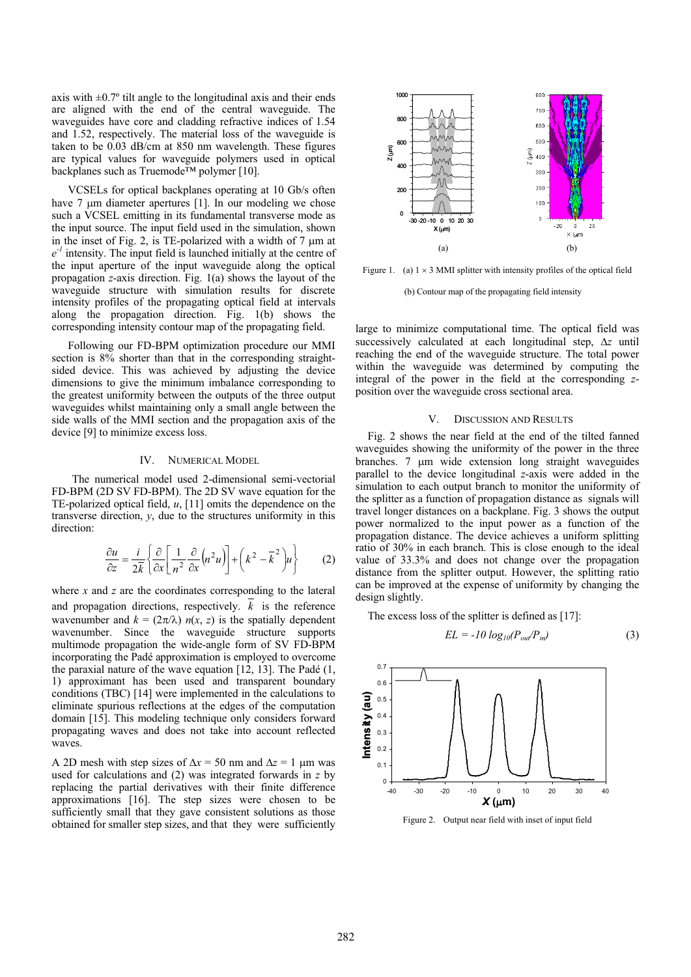axis with  $\pm 0.7^\circ$  tilt angle to the longitudinal axis and their ends are aligned with the end of the central waveguide. The waveguides have core and cladding refractive indices of 1.54 and 1.52, respectively. The material loss of the waveguide is taken to be 0.03 dB/cm at 850 nm wavelength. These figures are typical values for waveguide polymers used in optical backplanes such as Truemode™ polymer [10].

VCSELs for optical backplanes operating at 10 Gb/s often have  $7 \mu m$  diameter apertures [1]. In our modeling we chose such a VCSEL emitting in its fundamental transverse mode as the input source. The input field used in the simulation, shown in the inset of Fig. 2, is TE-polarized with a width of  $7 \mu m$  at  $e^{-1}$  intensity. The input field is launched initially at the centre of the input aperture of the input waveguide along the optical propagation *z*-axis direction. Fig. 1(a) shows the layout of the waveguide structure with simulation results for discrete intensity profiles of the propagating optical field at intervals along the propagation direction. Fig. 1(b) shows the corresponding intensity contour map of the propagating field.

Following our FD-BPM optimization procedure our MMI section is  $8\%$  shorter than that in the corresponding straightsided device. This was achieved by adjusting the device dimensions to give the minimum imbalance corresponding to the greatest uniformity between the outputs of the three output waveguides whilst maintaining only a small angle between the side walls of the MMI section and the propagation axis of the device [9] to minimize excess loss.

## IV. NUMERICAL MODEL

The numerical model used 2-dimensional semi-vectorial FD-BPM (2D SV FD-BPM). The 2D SV wave equation for the TE-polarized optical field, *u*, [11] omits the dependence on the transverse direction, *y*, due to the structures uniformity in this direction:

$$
\frac{\partial u}{\partial z} = \frac{i}{2\bar{k}} \left\{ \frac{\partial}{\partial x} \left[ \frac{1}{n^2} \frac{\partial}{\partial x} \left( n^2 u \right) \right] + \left( k^2 - \bar{k}^2 \right) u \right\} \tag{2}
$$

where *x* and *z* are the coordinates corresponding to the lateral and propagation directions, respectively.  $\overline{k}$  is the reference wavenumber and  $k = (2\pi/\lambda) n(x, z)$  is the spatially dependent wavenumber. Since the waveguide structure supports multimode propagation the wide-angle form of SV FD-BPM incorporating the Padé approximation is employed to overcome the paraxial nature of the wave equation  $[12, 13]$ . The Padé  $(1, 1)$ 1) approximant has been used and transparent boundary conditions (TBC) [14] were implemented in the calculations to eliminate spurious reflections at the edges of the computation domain [15]. This modeling technique only considers forward propagating waves and does not take into account reflected waves.

A 2D mesh with step sizes of  $\Delta x = 50$  nm and  $\Delta z = 1$  µm was used for calculations and (2) was integrated forwards in z by replacing the partial derivatives with their finite difference approximations [16]. The step size used for calculations and (2) was integrated forwards in *z* by replacing the partial derivatives with their finite difference sufficiently small that they gave consistent solutions as those obtained for smaller step sizes, and that they were sufficiently



Figure 1. (a)  $1 \times 3$  MMI splitter with intensity profiles of the optical field

(b) Contour map of the propagating field intensity

large to minimize computational time. The optical field was successively calculated at each longitudinal step,  $\Delta z$  until reaching the end of the waveguide structure. The total power within the waveguide was determined by computing the integral of the power in the field at the corresponding *z*position over the waveguide cross sectional area.

#### V. DISCUSSION AND RESULTS

Fig. 2 shows the near field at the end of the tilted fanned waveguides showing the uniformity of the power in the three branches.  $7 \mu m$  wide extension long straight waveguides parallel to the device longitudinal *z*-axis were added in the simulation to each output branch to monitor the uniformity of the splitter as a function of propagation distance as signals will travel longer distances on a backplane. Fig. 3 shows the output power normalized to the input power as a function of the propagation distance. The device achieves a uniform splitting ratio of 30% in each branch. This is close enough to the ideal value of 33.3% and does not change over the propagation distance from the splitter output. However, the splitting ratio can be improved at the expense of uniformity by changing the design slightly.

The excess loss of the splitter is defined as [17]:

$$
EL = -10 \log_{10}(P_{\text{out}}/P_{\text{in}}) \tag{3}
$$



Figure 2. Output near field with inset of input field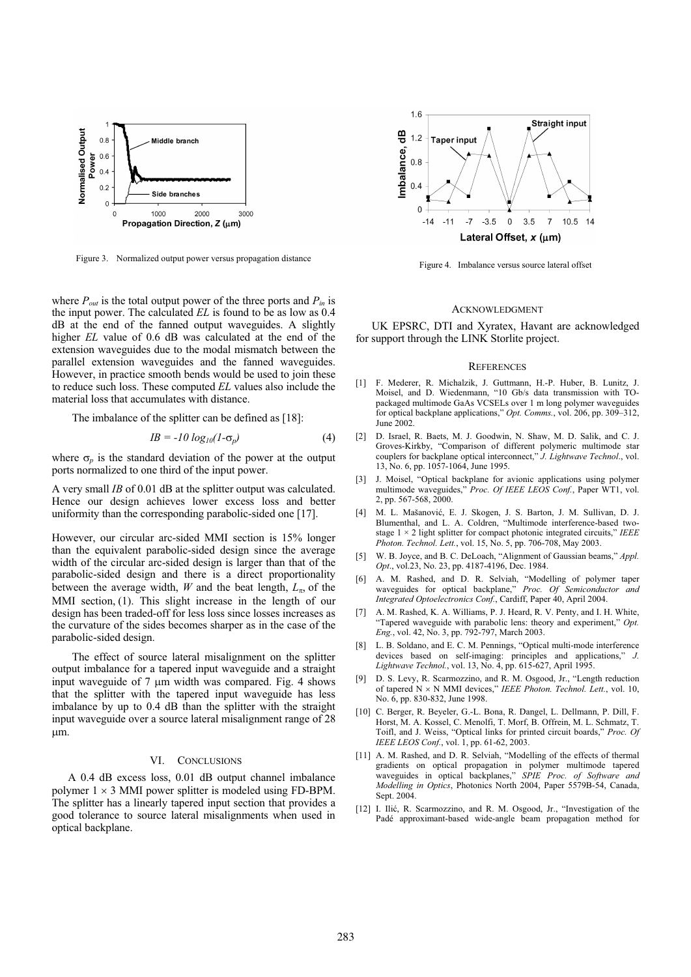

Figure 3. Normalized output power versus propagation distance

where  $P_{out}$  is the total output power of the three ports and  $P_{in}$  is the input power. The calculated *EL* is found to be as low as 0.4 dB at the end of the fanned output waveguides. A slightly higher *EL* value of 0.6 dB was calculated at the end of the extension waveguides due to the modal mismatch between the parallel extension waveguides and the fanned waveguides. However, in practice smooth bends would be used to join these to reduce such loss. These computed *EL* values also include the material loss that accumulates with distance.

The imbalance of the splitter can be defined as [18]:

$$
IB = -10 \log_{10}(1-\sigma_p) \tag{4}
$$

where  $\sigma_p$  is the standard deviation of the power at the output ports normalized to one third of the input power.

A very small *IB* of 0.01 dB at the splitter output was calculated. Hence our design achieves lower excess loss and better uniformity than the corresponding parabolic-sided one [17].

However, our circular arc-sided MMI section is 15% longer than the equivalent parabolic-sided design since the average width of the circular arc-sided design is larger than that of the parabolic-sided design and there is a direct proportionality between the average width,  $W$  and the beat length,  $L_{\pi}$ , of the MMI section,  $(1)$ . This slight increase in the length of our design has been traded-off for less loss since losses increases as the curvature of the sides becomes sharper as in the case of the parabolic-sided design.

The effect of source lateral misalignment on the splitter output imbalance for a tapered input waveguide and a straight input waveguide of  $7 \mu m$  width was compared. Fig. 4 shows that the splitter with the tapered input waveguide has less imbalance by up to 0.4 dB than the splitter with the straight input waveguide over a source lateral misalignment range of 28  $µm$ .

#### VI. CONCLUSIONS

A 0.4 dB excess loss, 0.01 dB output channel imbalance polymer  $1 \times 3$  MMI power splitter is modeled using FD-BPM. The splitter has a linearly tapered input section that provides a good tolerance to source lateral misalignments when used in optical backplane.



Figure 4. Imbalance versus source lateral offset

### ACKNOWLEDGMENT

UK EPSRC, DTI and Xyratex, Havant are acknowledged for support through the LINK Storlite project.

#### **REFERENCES**

- [1] F. Mederer, R. Michalzik, J. Guttmann, H.-P. Huber, B. Lunitz, J. Moisel, and D. Wiedenmann, "10 Gb/s data transmission with TOpackaged multimode GaAs VCSELs over 1 m long polymer waveguides for optical backplane applications," *Opt. Comms.*, vol. 206, pp. 309–312, June 2002.
- [2] D. Israel, R. Baets, M. J. Goodwin, N. Shaw, M. D. Salik, and C. J. Groves-Kirkby, "Comparison of different polymeric multimode star couplers for backplane optical interconnect," *J. Lightwave Technol*., vol. 13, No. 6, pp. 1057-1064, June 1995.
- [3] J. Moisel, "Optical backplane for avionic applications using polymer multimode waveguides," *Proc. Of IEEE LEOS Conf.*, Paper WT1, vol. 2, pp. 567-568, 2000.
- [4] M. L. Mašanović, E. J. Skogen, J. S. Barton, J. M. Sullivan, D. J. Blumenthal, and L. A. Coldren, "Multimode interference-based twostage 1 × 2 light splitter for compact photonic integrated circuits," *IEEE Photon. Technol. Lett.*, vol. 15, No. 5, pp. 706-708, May 2003.
- W. B. Joyce, and B. C. DeLoach, "Alignment of Gaussian beams," *Appl. Opt*., vol.23, No. 23, pp. 4187-4196, Dec. 1984.
- [6] A. M. Rashed, and D. R. Selviah, "Modelling of polymer taper waveguides for optical backplane," *Proc. Of Semiconductor and Integrated Optoelectronics Conf.*, Cardiff, Paper 40, April 2004.
- [7] A. M. Rashed, K. A. Williams, P. J. Heard, R. V. Penty, and I. H. White, "Tapered waveguide with parabolic lens: theory and experiment," *Opt. Eng.*, vol. 42, No. 3, pp. 792-797, March 2003.
- [8] L. B. Soldano, and E. C. M. Pennings, "Optical multi-mode interference devices based on self-imaging: principles and applications," *J. Lightwave Technol.*, vol. 13, No. 4, pp. 615-627, April 1995.
- [9] D. S. Levy, R. Scarmozzino, and R. M. Osgood, Jr., "Length reduction of tapered N × N MMI devices," IEEE Photon. Technol. Lett., vol. 10, No. 6, pp. 830-832, June 1998.
- [10] C. Berger, R. Beyeler, G.-L. Bona, R. Dangel, L. Dellmann, P. Dill, F. Horst, M. A. Kossel, C. Menolfi, T. Morf, B. Offrein, M. L. Schmatz, T. Toifl, and J. Weiss, "Optical links for printed circuit boards," *Proc. Of IEEE LEOS Conf.*, vol. 1, pp. 61-62, 2003.
- [11] A. M. Rashed, and D. R. Selviah, "Modelling of the effects of thermal gradients on optical propagation in polymer multimode tapered waveguides in optical backplanes," *SPIE Proc. of Software and Modelling in Optics*, Photonics North 2004, Paper 5579B-54, Canada, Sept. 2004
- [12] I. Ilić, R. Scarmozzino, and R. M. Osgood, Jr., "Investigation of the Padé approximant-based wide-angle beam propagation method for